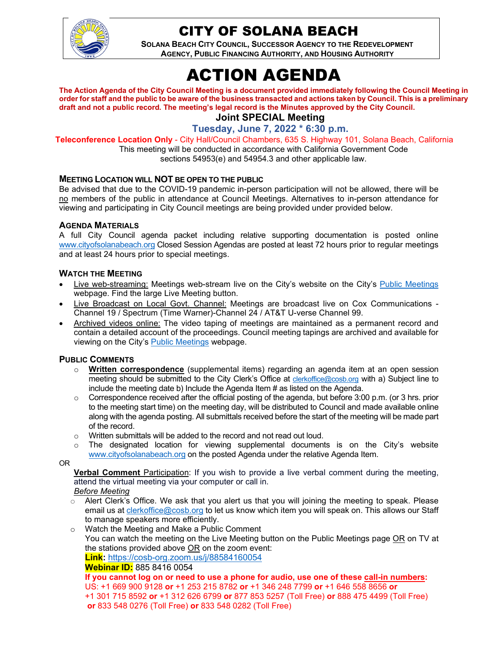

## CITY OF SOLANA BEACH

**SOLANA BEACH CITY COUNCIL, SUCCESSOR AGENCY TO THE REDEVELOPMENT AGENCY, PUBLIC FINANCING AUTHORITY, AND HOUSING AUTHORITY** 

# ACTION AGENDA

**The Action Agenda of the City Council Meeting is a document provided immediately following the Council Meeting in order for staff and the public to be aware of the business transacted and actions taken by Council. This is a preliminary draft and not a public record. The meeting's legal record is the Minutes approved by the City Council.** 

**Joint SPECIAL Meeting**

**Tuesday, June 7, 2022 \* 6:30 p.m.**

**Teleconference Location Only** - City Hall/Council Chambers, 635 S. Highway 101, Solana Beach, California

This meeting will be conducted in accordance with California Government Code sections 54953(e) and 54954.3 and other applicable law.

#### **MEETING LOCATION WILL NOT BE OPEN TO THE PUBLIC**

Be advised that due to the COVID-19 pandemic in-person participation will not be allowed, there will be no members of the public in attendance at Council Meetings. Alternatives to in-person attendance for viewing and participating in City Council meetings are being provided under provided below.

### **AGENDA MATERIALS**

A full City Council agenda packet including relative supporting documentation is posted online www.cityofsolanabeach.org Closed Session Agendas are posted at least 72 hours prior to regular meetings and at least 24 hours prior to special meetings.

#### **WATCH THE MEETING**

- Live web-streaming: Meetings web-stream live on the City's website on the City's Public Meetings webpage. Find the large Live Meeting button.
- Live Broadcast on Local Govt. Channel: Meetings are broadcast live on Cox Communications Channel 19 / Spectrum (Time Warner)-Channel 24 / AT&T U-verse Channel 99.
- Archived videos online: The video taping of meetings are maintained as a permanent record and contain a detailed account of the proceedings. Council meeting tapings are archived and available for viewing on the City's Public Meetings webpage.

#### **PUBLIC COMMENTS**

- o **Written correspondence** (supplemental items) regarding an agenda item at an open session meeting should be submitted to the City Clerk's Office at clerkoffice@cosb.org with a) Subject line to include the meeting date b) Include the Agenda Item # as listed on the Agenda.
- $\circ$  Correspondence received after the official posting of the agenda, but before 3:00 p.m. (or 3 hrs. prior to the meeting start time) on the meeting day, will be distributed to Council and made available online along with the agenda posting. All submittals received before the start of the meeting will be made part of the record.
- Written submittals will be added to the record and not read out loud.
- $\circ$  The designated location for viewing supplemental documents is on the City's website www.cityofsolanabeach.org on the posted Agenda under the relative Agenda Item.

OR

**Verbal Comment** Participation: If you wish to provide a live verbal comment during the meeting, attend the virtual meeting via your computer or call in.

#### *Before Meeting*

- Alert Clerk's Office. We ask that you alert us that you will joining the meeting to speak. Please email us at clerkoffice@cosb.org to let us know which item you will speak on. This allows our Staff to manage speakers more efficiently.
- o Watch the Meeting and Make a Public Comment You can watch the meeting on the Live Meeting button on the Public Meetings page OR on TV at the stations provided above OR on the zoom event:

**Link:** https://cosb-org.zoom.us/j/88584160054

#### **Webinar ID:** 885 8416 0054

**If you cannot log on or need to use a phone for audio, use one of these call-in numbers:**  US: +1 669 900 9128 **or** +1 253 215 8782 **or** +1 346 248 7799 **or** +1 646 558 8656 **or** +1 301 715 8592 **or** +1 312 626 6799 **or** 877 853 5257 (Toll Free) **or** 888 475 4499 (Toll Free) **or** 833 548 0276 (Toll Free) **or** 833 548 0282 (Toll Free)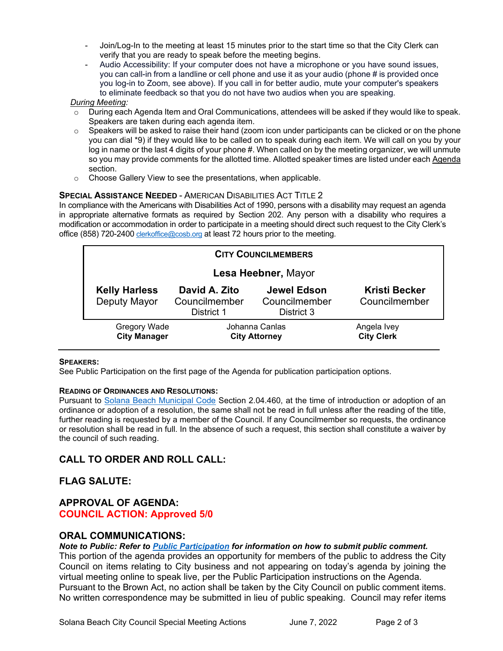- Join/Log-In to the meeting at least 15 minutes prior to the start time so that the City Clerk can verify that you are ready to speak before the meeting begins.
- Audio Accessibility: If your computer does not have a microphone or you have sound issues, you can call-in from a landline or cell phone and use it as your audio (phone # is provided once you log-in to Zoom, see above). If you call in for better audio, mute your computer's speakers to eliminate feedback so that you do not have two audios when you are speaking.

#### *During Meeting:*

- $\circ$  During each Agenda Item and Oral Communications, attendees will be asked if they would like to speak. Speakers are taken during each agenda item.
- o Speakers will be asked to raise their hand (zoom icon under participants can be clicked or on the phone you can dial \*9) if they would like to be called on to speak during each item. We will call on you by your log in name or the last 4 digits of your phone #. When called on by the meeting organizer, we will unmute so you may provide comments for the allotted time. Allotted speaker times are listed under eac[h Agenda](https://urldefense.proofpoint.com/v2/url?u=https-3A__www.ci.solana-2Dbeach.ca.us_index.asp-3FSEC-3DF0F1200D-2D21C6-2D4A88-2D8AE1-2D0BC07C1A81A7-26Type-3DB-5FBASIC&d=DwMFaQ&c=euGZstcaTDllvimEN8b7jXrwqOf-v5A_CdpgnVfiiMM&r=1XAsCUuqwK_tji2t0s1uIQ&m=C7WzXfOw2_nkEFMJClT55zZsF4tmIf_7KTn0o1WpYqI&s=3DcsWExM2_nx_xpvFtXslUjphiXd0MDCCF18y_Qy5yU&e=) section.
- o Choose Gallery View to see the presentations, when applicable.

#### **SPECIAL ASSISTANCE NEEDED** - AMERICAN DISABILITIES ACT TITLE 2

In compliance with the Americans with Disabilities Act of 1990, persons with a disability may request an agenda in appropriate alternative formats as required by Section 202. Any person with a disability who requires a modification or accommodation in order to participate in a meeting should direct such request to the City Clerk's office (858) 720-2400 [clerkoffice@cosb.org](mailto:EMAILGRP-CityClerksOfc@cosb.org) at least 72 hours prior to the meeting.

| <b>CITY COUNCILMEMBERS</b>                 |                                              |                                                   |                                       |
|--------------------------------------------|----------------------------------------------|---------------------------------------------------|---------------------------------------|
| Lesa Heebner, Mayor                        |                                              |                                                   |                                       |
| <b>Kelly Harless</b><br>Deputy Mayor       | David A. Zito<br>Councilmember<br>District 1 | <b>Jewel Edson</b><br>Councilmember<br>District 3 | <b>Kristi Becker</b><br>Councilmember |
| <b>Gregory Wade</b><br><b>City Manager</b> | Johanna Canlas<br><b>City Attorney</b>       |                                                   | Angela Ivey<br><b>City Clerk</b>      |

#### **SPEAKERS:**

See Public Participation on the first page of the Agenda for publication participation options.

#### **READING OF ORDINANCES AND RESOLUTIONS:**

Pursuant to [Solana Beach Municipal Code](https://www.codepublishing.com/CA/SolanaBeach/) Section 2.04.460, at the time of introduction or adoption of an ordinance or adoption of a resolution, the same shall not be read in full unless after the reading of the title, further reading is requested by a member of the Council. If any Councilmember so requests, the ordinance or resolution shall be read in full. In the absence of such a request, this section shall constitute a waiver by the council of such reading.

## **CALL TO ORDER AND ROLL CALL:**

## **FLAG SALUTE:**

## **APPROVAL OF AGENDA: COUNCIL ACTION: Approved 5/0**

## **ORAL COMMUNICATIONS:**

*Note to Public: Refer to Public Participation for information on how to submit public comment.* 

This portion of the agenda provides an opportunity for members of the public to address the City Council on items relating to City business and not appearing on today's agenda by joining the virtual meeting online to speak live, per the Public Participation instructions on the Agenda. Pursuant to the Brown Act, no action shall be taken by the City Council on public comment items. No written correspondence may be submitted in lieu of public speaking. Council may refer items